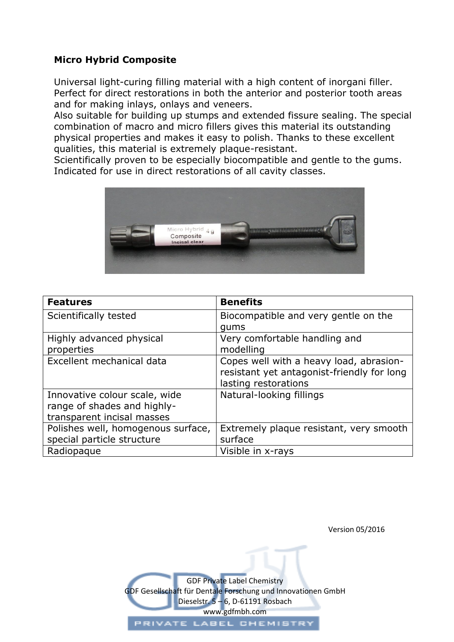## **Micro Hybrid Composite**

Universal light-curing filling material with a high content of inorgani filler. Perfect for direct restorations in both the anterior and posterior tooth areas and for making inlays, onlays and veneers.

Also suitable for building up stumps and extended fissure sealing. The special combination of macro and micro fillers gives this material its outstanding physical properties and makes it easy to polish. Thanks to these excellent qualities, this material is extremely plaque-resistant.

Scientifically proven to be especially biocompatible and gentle to the gums. Indicated for use in direct restorations of all cavity classes.



| <b>Features</b>                    | <b>Benefits</b>                            |
|------------------------------------|--------------------------------------------|
| Scientifically tested              | Biocompatible and very gentle on the       |
|                                    | qums                                       |
| Highly advanced physical           | Very comfortable handling and              |
| properties                         | modelling                                  |
| Excellent mechanical data          | Copes well with a heavy load, abrasion-    |
|                                    | resistant yet antagonist-friendly for long |
|                                    | lasting restorations                       |
| Innovative colour scale, wide      | Natural-looking fillings                   |
| range of shades and highly-        |                                            |
| transparent incisal masses         |                                            |
| Polishes well, homogenous surface, | Extremely plaque resistant, very smooth    |
| special particle structure         | surface                                    |
| Radiopaque                         | Visible in x-rays                          |

Version 05/2016

GDF Private Label Chemistry [GDF Gesellschaft für Dentale Forschung und Innovationen](http://www.gdfmbh.com/index.htm) GmbH Dieselstr. 5 – 6, D-61191 Rosbach www.gdfmbh.com PRIVATE LABEL CHEMISTRY